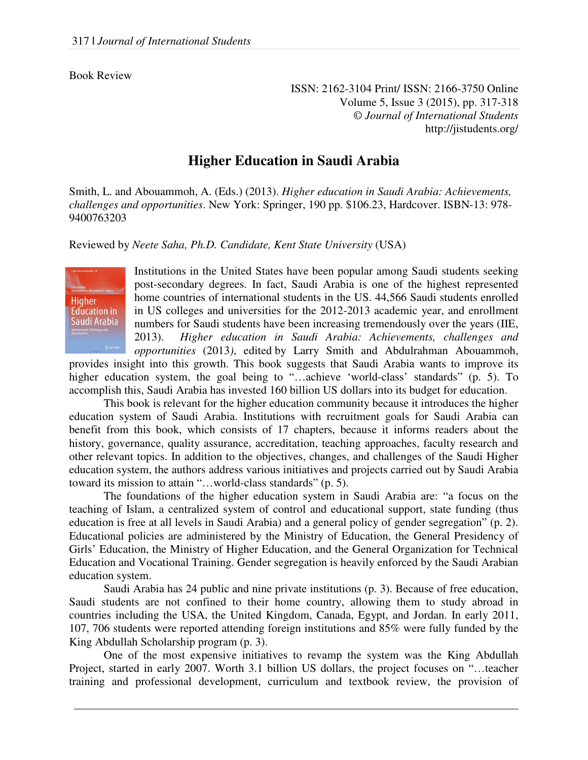## Book Review

ISSN: 2162-3104 Print/ ISSN: 2166-3750 Online Volume 5, Issue 3 (2015), pp. 317-318 © *Journal of International Students* http://jistudents.org/

## **Higher Education in Saudi Arabia**

Smith, L. and Abouammoh, A. (Eds.) (2013). *Higher education in Saudi Arabia: Achievements, challenges and opportunities*. New York: Springer, 190 pp. \$106.23, Hardcover. ISBN-13: 978- 9400763203

Reviewed by *Neete Saha, Ph.D. Candidate, Kent State University* (USA)



Institutions in the United States have been popular among Saudi students seeking post-secondary degrees. In fact, Saudi Arabia is one of the highest represented home countries of international students in the US. 44,566 Saudi students enrolled in US colleges and universities for the 2012-2013 academic year, and enrollment numbers for Saudi students have been increasing tremendously over the years (IIE, 2013). *Higher education in Saudi Arabia: Achievements, challenges and opportunities* (2013*)*, edited by Larry Smith and Abdulrahman Abouammoh,

provides insight into this growth. This book suggests that Saudi Arabia wants to improve its higher education system, the goal being to "...achieve 'world-class' standards" (p. 5). To accomplish this, Saudi Arabia has invested 160 billion US dollars into its budget for education.

 This book is relevant for the higher education community because it introduces the higher education system of Saudi Arabia. Institutions with recruitment goals for Saudi Arabia can benefit from this book, which consists of 17 chapters, because it informs readers about the history, governance, quality assurance, accreditation, teaching approaches, faculty research and other relevant topics. In addition to the objectives, changes, and challenges of the Saudi Higher education system, the authors address various initiatives and projects carried out by Saudi Arabia toward its mission to attain "…world-class standards" (p. 5).

 The foundations of the higher education system in Saudi Arabia are: "a focus on the teaching of Islam, a centralized system of control and educational support, state funding (thus education is free at all levels in Saudi Arabia) and a general policy of gender segregation" (p. 2). Educational policies are administered by the Ministry of Education, the General Presidency of Girls' Education, the Ministry of Higher Education, and the General Organization for Technical Education and Vocational Training. Gender segregation is heavily enforced by the Saudi Arabian education system.

 Saudi Arabia has 24 public and nine private institutions (p. 3). Because of free education, Saudi students are not confined to their home country, allowing them to study abroad in countries including the USA, the United Kingdom, Canada, Egypt, and Jordan. In early 2011, 107, 706 students were reported attending foreign institutions and 85% were fully funded by the King Abdullah Scholarship program (p. 3).

 One of the most expensive initiatives to revamp the system was the King Abdullah Project, started in early 2007. Worth 3.1 billion US dollars, the project focuses on "…teacher training and professional development, curriculum and textbook review, the provision of